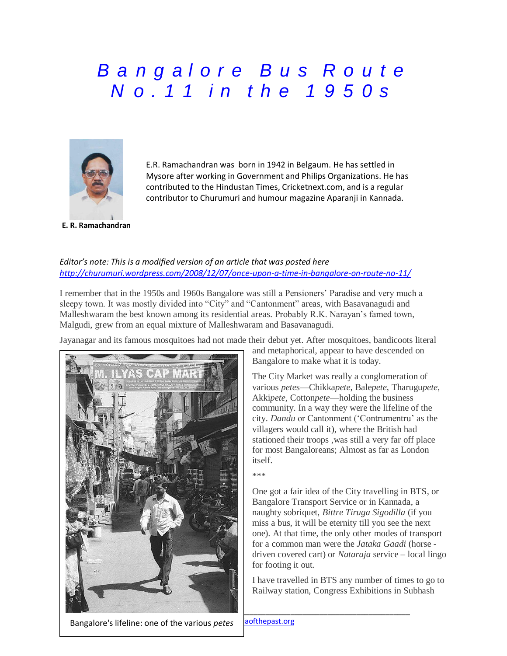## *B a n g a l o r e B u s R o u t e N o . 1 1 i n t h e 1 9 5 0 s*



E.R. Ramachandran was born in 1942 in Belgaum. He has settled in Mysore after working in Government and Philips Organizations. He has contributed to the Hindustan Times, Cricketnext.com, and is a regular contributor to Churumuri and humour magazine Aparanji in Kannada.

## *Editor's note: This is a modified version of an article that was posted here <http://churumuri.wordpress.com/2008/12/07/once-upon-a-time-in-bangalore-on-route-no-11/>*

I remember that in the 1950s and 1960s Bangalore was still a Pensioners' Paradise and very much a sleepy town. It was mostly divided into "City" and "Cantonment" areas, with Basavanagudi and Malleshwaram the best known among its residential areas. Probably R.K. Narayan's famed town, Malgudi, grew from an equal mixture of Malleshwaram and Basavanagudi.

Jayanagar and its famous mosquitoes had not made their debut yet. After mosquitoes, bandicoots literal



and metaphorical, appear to have descended on Bangalore to make what it is today.

The City Market was really a conglomeration of various *pete*s—Chikka*pete*, Bale*pete*, Tharugu*pete*, Akki*pete*, Cotton*pete*—holding the business community. In a way they were the lifeline of the city. *Dandu* or Cantonment ('Contrumentru' as the villagers would call it), where the British had stationed their troops ,was still a very far off place for most Bangaloreans; Almost as far as London itself.

\*\*\*

One got a fair idea of the City travelling in BTS, or Bangalore Transport Service or in Kannada, a naughty sobriquet, *Bittre Tiruga Sigodilla* (if you miss a bus, it will be eternity till you see the next one). At that time, the only other modes of transport for a common man were the *Jataka Gaadi* (horse driven covered cart) or *Nataraja* service – local lingo for footing it out.

I have travelled in BTS any number of times to go to Railway station, Congress Exhibitions in Subhash

Bangalore's lifeline: one of the various *petes*

aofthepast.org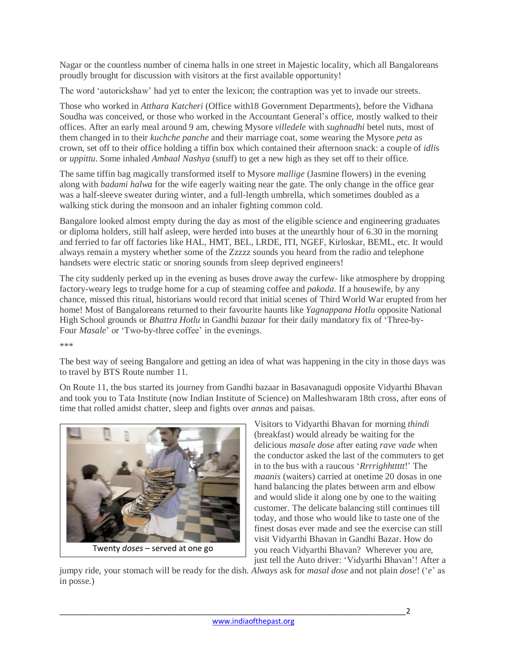Nagar or the countless number of cinema halls in one street in Majestic locality, which all Bangaloreans proudly brought for discussion with visitors at the first available opportunity!

The word 'autorickshaw' had yet to enter the lexicon; the contraption was yet to invade our streets.

Those who worked in *Atthara Katcheri* (Office with18 Government Departments), before the Vidhana Soudha was conceived, or those who worked in the Accountant General's office, mostly walked to their offices. After an early meal around 9 am, chewing Mysore *villedele* with *sughnadhi* betel nuts, most of them changed in to their *kuchche panche* and their marriage coat, some wearing the Mysore *peta* as crown, set off to their office holding a tiffin box which contained their afternoon snack: a couple of *idli*s or *uppittu*. Some inhaled *Ambaal Nashya* (snuff) to get a new high as they set off to their office.

The same tiffin bag magically transformed itself to Mysore *mallige* (Jasmine flowers) in the evening along with *badami halwa* for the wife eagerly waiting near the gate. The only change in the office gear was a half-sleeve sweater during winter, and a full-length umbrella, which sometimes doubled as a walking stick during the monsoon and an inhaler fighting common cold.

Bangalore looked almost empty during the day as most of the eligible science and engineering graduates or diploma holders, still half asleep, were herded into buses at the unearthly hour of 6.30 in the morning and ferried to far off factories like HAL, HMT, BEL, LRDE, ITI, NGEF, Kirloskar, BEML, etc. It would always remain a mystery whether some of the Zzzzz sounds you heard from the radio and telephone handsets were electric static or snoring sounds from sleep deprived engineers!

The city suddenly perked up in the evening as buses drove away the curfew- like atmosphere by dropping factory-weary legs to trudge home for a cup of steaming coffee and *pakoda*. If a housewife, by any chance, missed this ritual, historians would record that initial scenes of Third World War erupted from her home! Most of Bangaloreans returned to their favourite haunts like *Yagnappana Hotlu* opposite National High School grounds or *Bhattra Hotlu* in Gandhi *bazaar* for their daily mandatory fix of 'Three-by-Four *Masale*' or 'Two-by-three coffee' in the evenings.

\*\*\*

The best way of seeing Bangalore and getting an idea of what was happening in the city in those days was to travel by BTS Route number 11.

On Route 11, the bus started its journey from Gandhi bazaar in Basavanagudi opposite Vidyarthi Bhavan and took you to Tata Institute (now Indian Institute of Science) on Malleshwaram 18th cross, after eons of time that rolled amidst chatter, sleep and fights over *anna*s and paisas.



Visitors to Vidyarthi Bhavan for morning *thindi* (breakfast) would already be waiting for the delicious *masale dose* after eating *rave vade* when the conductor asked the last of the commuters to get in to the bus with a raucous '*Rrrrighhttttt*!' The *maanis* (waiters) carried at onetime 20 dosas in one hand balancing the plates between arm and elbow and would slide it along one by one to the waiting customer. The delicate balancing still continues till today, and those who would like to taste one of the finest dosas ever made and see the exercise can still visit Vidyarthi Bhavan in Gandhi Bazar. How do you reach Vidyarthi Bhavan? Wherever you are, just tell the Auto driver: 'Vidyarthi Bhavan'! After a

jumpy ride, your stomach will be ready for the dish. *Always* ask for *masal dose* and not plain *dose*! ('*e*' as in posse.)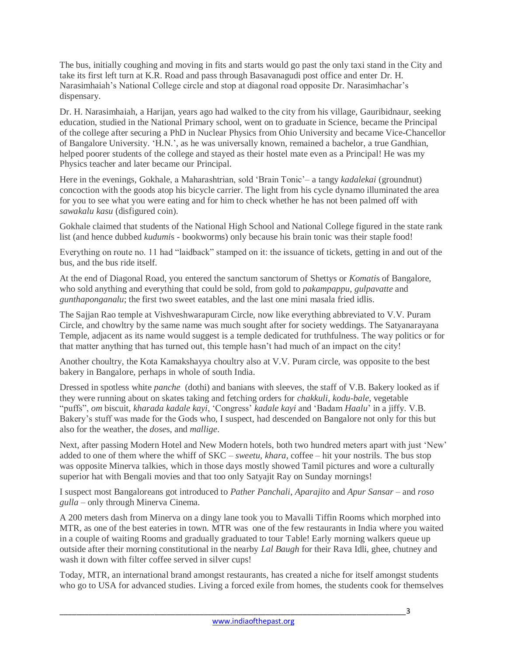The bus, initially coughing and moving in fits and starts would go past the only taxi stand in the City and take its first left turn at K.R. Road and pass through Basavanagudi post office and enter Dr. H. Narasimhaiah's National College circle and stop at diagonal road opposite Dr. Narasimhachar's dispensary.

Dr. H. Narasimhaiah, a Harijan, years ago had walked to the city from his village, Gauribidnaur, seeking education, studied in the National Primary school, went on to graduate in Science, became the Principal of the college after securing a PhD in Nuclear Physics from Ohio University and became Vice-Chancellor of Bangalore University. 'H.N.', as he was universally known, remained a bachelor, a true Gandhian, helped poorer students of the college and stayed as their hostel mate even as a Principal! He was my Physics teacher and later became our Principal.

Here in the evenings, Gokhale, a Maharashtrian, sold 'Brain Tonic'– a tangy *kadalekai* (groundnut) concoction with the goods atop his bicycle carrier. The light from his cycle dynamo illuminated the area for you to see what you were eating and for him to check whether he has not been palmed off with *sawakalu kasu* (disfigured coin).

Gokhale claimed that students of the National High School and National College figured in the state rank list (and hence dubbed *kudumi*s - bookworms) only because his brain tonic was their staple food!

Everything on route no. 11 had "laidback" stamped on it: the issuance of tickets, getting in and out of the bus, and the bus ride itself.

At the end of Diagonal Road, you entered the sanctum sanctorum of Shettys or *Komati*s of Bangalore, who sold anything and everything that could be sold, from gold to *pakampappu*, *gulpavatte* and *gunthaponganalu*; the first two sweet eatables, and the last one mini masala fried idlis.

The Sajjan Rao temple at Vishveshwarapuram Circle, now like everything abbreviated to V.V. Puram Circle, and chowltry by the same name was much sought after for society weddings. The Satyanarayana Temple, adjacent as its name would suggest is a temple dedicated for truthfulness. The way politics or for that matter anything that has turned out, this temple hasn't had much of an impact on the city!

Another choultry, the Kota Kamakshayya choultry also at V.V. Puram circle, was opposite to the best bakery in Bangalore, perhaps in whole of south India.

Dressed in spotless white *panche* (dothi) and banians with sleeves, the staff of V.B. Bakery looked as if they were running about on skates taking and fetching orders for *chakkuli*, *kodu-bale*, vegetable "puffs", *om* biscuit, *kharada kadale kayi*, 'Congress' *kadale kayi* and 'Badam *Haalu*' in a jiffy. V.B. Bakery's stuff was made for the Gods who, I suspect, had descended on Bangalore not only for this but also for the weather, the *dose*s, and *mallige*.

Next, after passing Modern Hotel and New Modern hotels, both two hundred meters apart with just 'New' added to one of them where the whiff of SKC – *sweetu, khara*, coffee – hit your nostrils. The bus stop was opposite Minerva talkies, which in those days mostly showed Tamil pictures and wore a culturally superior hat with Bengali movies and that too only Satyajit Ray on Sunday mornings!

I suspect most Bangaloreans got introduced to *Pather Panchali*, *Aparajito* and *Apur Sansar –* and *roso gulla –* only through Minerva Cinema.

A 200 meters dash from Minerva on a dingy lane took you to Mavalli Tiffin Rooms which morphed into MTR, as one of the best eateries in town. MTR was one of the few restaurants in India where you waited in a couple of waiting Rooms and gradually graduated to tour Table! Early morning walkers queue up outside after their morning constitutional in the nearby *Lal Baugh* for their Rava Idli, ghee, chutney and wash it down with filter coffee served in silver cups!

Today, MTR, an international brand amongst restaurants, has created a niche for itself amongst students who go to USA for advanced studies. Living a forced exile from homes, the students cook for themselves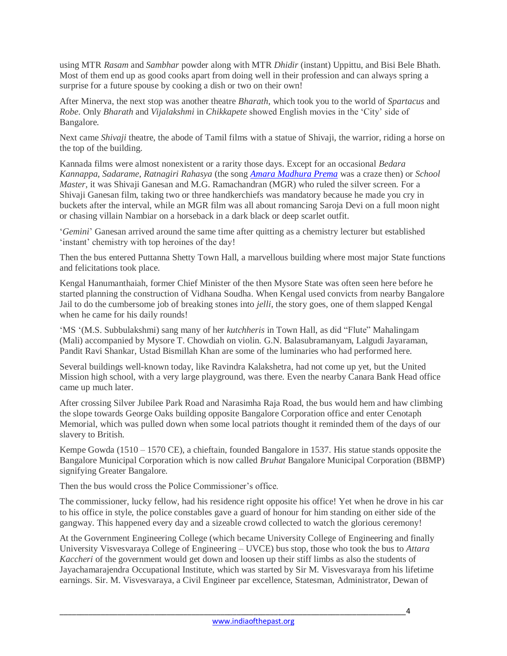using MTR *Rasam* and *Sambhar* powder along with MTR *Dhidir* (instant) Uppittu, and Bisi Bele Bhath. Most of them end up as good cooks apart from doing well in their profession and can always spring a surprise for a future spouse by cooking a dish or two on their own!

After Minerva, the next stop was another theatre *Bharath*, which took you to the world of *Spartacus* and *Robe*. Only *Bharath* and *Vijalakshmi* in *Chikkapete* showed English movies in the 'City' side of Bangalore.

Next came *Shivaji* theatre, the abode of Tamil films with a statue of Shivaji, the warrior, riding a horse on the top of the building.

Kannada films were almost nonexistent or a rarity those days. Except for an occasional *Bedara Kannappa*, *Sadarame*, *Ratnagiri Rahasya* (the song *[Amara Madhura Prema](https://www.youtube.com/watch?v=6L2f6wXicyU)* was a craze then) or *School Master*, it was Shivaji Ganesan and M.G. Ramachandran (MGR) who ruled the silver screen. For a Shivaji Ganesan film, taking two or three handkerchiefs was mandatory because he made you cry in buckets after the interval, while an MGR film was all about romancing Saroja Devi on a full moon night or chasing villain Nambiar on a horseback in a dark black or deep scarlet outfit.

'*Gemini*' Ganesan arrived around the same time after quitting as a chemistry lecturer but established 'instant' chemistry with top heroines of the day!

Then the bus entered Puttanna Shetty Town Hall, a marvellous building where most major State functions and felicitations took place.

Kengal Hanumanthaiah, former Chief Minister of the then Mysore State was often seen here before he started planning the construction of Vidhana Soudha. When Kengal used convicts from nearby Bangalore Jail to do the cumbersome job of breaking stones into *jelli*, the story goes, one of them slapped Kengal when he came for his daily rounds!

'MS '(M.S. Subbulakshmi) sang many of her *kutchheris* in Town Hall, as did "Flute" Mahalingam (Mali) accompanied by Mysore T. Chowdiah on violin. G.N. Balasubramanyam, Lalgudi Jayaraman, Pandit Ravi Shankar, Ustad Bismillah Khan are some of the luminaries who had performed here.

Several buildings well-known today, like Ravindra Kalakshetra, had not come up yet, but the United Mission high school, with a very large playground, was there. Even the nearby Canara Bank Head office came up much later.

After crossing Silver Jubilee Park Road and Narasimha Raja Road, the bus would hem and haw climbing the slope towards George Oaks building opposite Bangalore Corporation office and enter Cenotaph Memorial, which was pulled down when some local patriots thought it reminded them of the days of our slavery to British.

Kempe Gowda (1510 – 1570 CE), a chieftain, founded Bangalore in 1537. His statue stands opposite the Bangalore Municipal Corporation which is now called *Bruhat* Bangalore Municipal Corporation (BBMP) signifying Greater Bangalore.

Then the bus would cross the Police Commissioner's office.

The commissioner, lucky fellow, had his residence right opposite his office! Yet when he drove in his car to his office in style, the police constables gave a guard of honour for him standing on either side of the gangway. This happened every day and a sizeable crowd collected to watch the glorious ceremony!

At the Government Engineering College (which became University College of Engineering and finally University Visvesvaraya College of Engineering – UVCE) bus stop, those who took the bus to *Attara Kaccheri* of the government would get down and loosen up their stiff limbs as also the students of Jayachamarajendra Occupational Institute, which was started by Sir M. Visvesvaraya from his lifetime earnings. Sir. M. Visvesvaraya, a Civil Engineer par excellence, Statesman, Administrator, Dewan of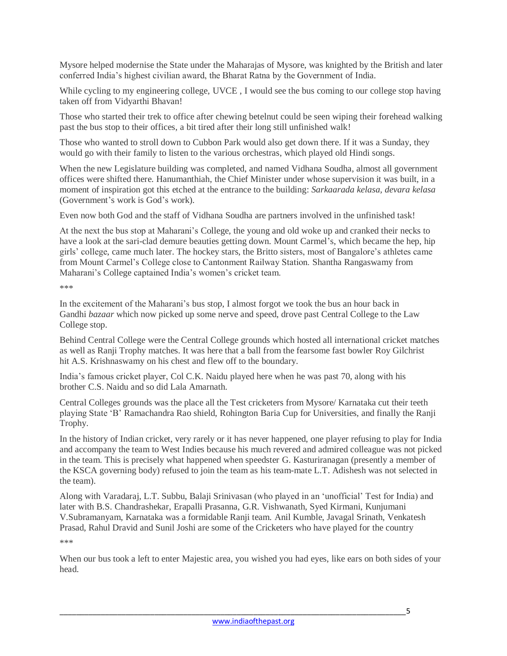Mysore helped modernise the State under the Maharajas of Mysore, was knighted by the British and later conferred India's highest civilian award, the Bharat Ratna by the Government of India.

While cycling to my engineering college, UVCE , I would see the bus coming to our college stop having taken off from Vidyarthi Bhavan!

Those who started their trek to office after chewing betelnut could be seen wiping their forehead walking past the bus stop to their offices, a bit tired after their long still unfinished walk!

Those who wanted to stroll down to Cubbon Park would also get down there. If it was a Sunday, they would go with their family to listen to the various orchestras, which played old Hindi songs.

When the new Legislature building was completed, and named Vidhana Soudha, almost all government offices were shifted there. Hanumanthiah, the Chief Minister under whose supervision it was built, in a moment of inspiration got this etched at the entrance to the building: *Sarkaarada kelasa, devara kelasa* (Government's work is God's work).

Even now both God and the staff of Vidhana Soudha are partners involved in the unfinished task!

At the next the bus stop at Maharani's College, the young and old woke up and cranked their necks to have a look at the sari-clad demure beauties getting down. Mount Carmel's, which became the hep, hip girls' college, came much later. The hockey stars, the Britto sisters, most of Bangalore's athletes came from Mount Carmel's College close to Cantonment Railway Station. Shantha Rangaswamy from Maharani's College captained India's women's cricket team.

\*\*\*

In the excitement of the Maharani's bus stop, I almost forgot we took the bus an hour back in Gandhi *bazaar* which now picked up some nerve and speed, drove past Central College to the Law College stop.

Behind Central College were the Central College grounds which hosted all international cricket matches as well as Ranji Trophy matches. It was here that a ball from the fearsome fast bowler Roy Gilchrist hit A.S. Krishnaswamy on his chest and flew off to the boundary.

India's famous cricket player, Col C.K. Naidu played here when he was past 70, along with his brother C.S. Naidu and so did Lala Amarnath.

Central Colleges grounds was the place all the Test cricketers from Mysore/ Karnataka cut their teeth playing State 'B' Ramachandra Rao shield, Rohington Baria Cup for Universities, and finally the Ranji Trophy.

In the history of Indian cricket, very rarely or it has never happened, one player refusing to play for India and accompany the team to West Indies because his much revered and admired colleague was not picked in the team. This is precisely what happened when speedster G. Kasturiranagan (presently a member of the KSCA governing body) refused to join the team as his team-mate L.T. Adishesh was not selected in the team).

Along with Varadaraj, L.T. Subbu, Balaji Srinivasan (who played in an 'unofficial' Test for India) and later with B.S. Chandrashekar, Erapalli Prasanna, G.R. Vishwanath, Syed Kirmani, Kunjumani V.Subramanyam, Karnataka was a formidable Ranji team. Anil Kumble, Javagal Srinath, Venkatesh Prasad, Rahul Dravid and Sunil Joshi are some of the Cricketers who have played for the country

\*\*\*

When our bus took a left to enter Majestic area, you wished you had eyes, like ears on both sides of your head.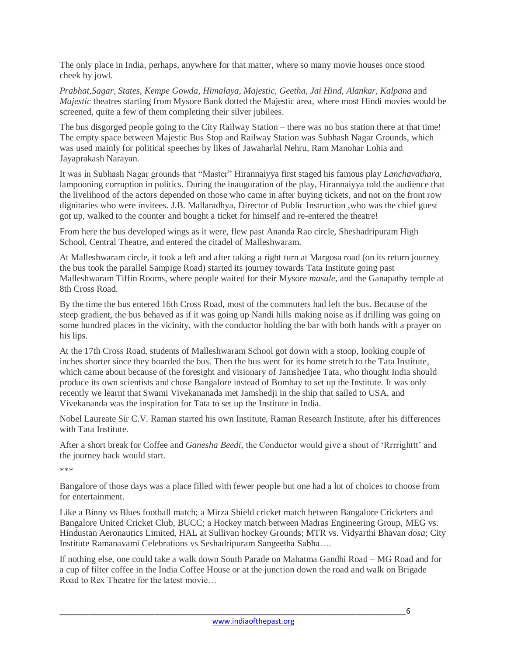The only place in India, perhaps, anywhere for that matter, where so many movie houses once stood cheek by jowl.

*Prabhat,Sagar, States, Kempe Gowda, Himalaya, Majestic, Geetha, Jai Hind, Alankar, Kalpana* and *Majestic* theatres starting from Mysore Bank dotted the Majestic area, where most Hindi movies would be screened, quite a few of them completing their silver jubilees.

The bus disgorged people going to the City Railway Station – there was no bus station there at that time! The empty space between Majestic Bus Stop and Railway Station was Subhash Nagar Grounds, which was used mainly for political speeches by likes of Jawaharlal Nehru, Ram Manohar Lohia and Jayaprakash Narayan.

It was in Subhash Nagar grounds that "Master" Hirannaiyya first staged his famous play *Lanchavathara*, lampooning corruption in politics. During the inauguration of the play, Hirannaiyya told the audience that the livelihood of the actors depended on those who came in after buying tickets, and not on the front row dignitaries who were invitees. J.B. Mallaradhya, Director of Public Instruction ,who was the chief guest got up, walked to the counter and bought a ticket for himself and re-entered the theatre!

From here the bus developed wings as it were, flew past Ananda Rao circle, Sheshadripuram High School, Central Theatre, and entered the citadel of Malleshwaram.

At Malleshwaram circle, it took a left and after taking a right turn at Margosa road (on its return journey the bus took the parallel Sampige Road) started its journey towards Tata Institute going past Malleshwaram Tiffin Rooms, where people waited for their Mysore *masale*, and the Ganapathy temple at 8th Cross Road.

By the time the bus entered 16th Cross Road, most of the commuters had left the bus. Because of the steep gradient, the bus behaved as if it was going up Nandi hills making noise as if drilling was going on some hundred places in the vicinity, with the conductor holding the bar with both hands with a prayer on his lips.

At the 17th Cross Road, students of Malleshwaram School got down with a stoop, looking couple of inches shorter since they boarded the bus. Then the bus went for its home stretch to the Tata Institute, which came about because of the foresight and visionary of Jamshedjee Tata, who thought India should produce its own scientists and chose Bangalore instead of Bombay to set up the Institute. It was only recently we learnt that Swami Vivekananada met Jamshedji in the ship that sailed to USA, and Vivekananda was the inspiration for Tata to set up the Institute in India.

Nobel Laureate Sir C.V. Raman started his own Institute, Raman Research Institute, after his differences with Tata Institute.

After a short break for Coffee and *Ganesha Beedi*, the Conductor would give a shout of 'Rrrrighttt' and the journey back would start.

\*\*\*

Bangalore of those days was a place filled with fewer people but one had a lot of choices to choose from for entertainment.

Like a Binny vs Blues football match; a Mirza Shield cricket match between Bangalore Cricketers and Bangalore United Cricket Club, BUCC; a Hockey match between Madras Engineering Group, MEG vs. Hindustan Aeronautics Limited, HAL at Sullivan hockey Grounds; MTR vs. Vidyarthi Bhavan *dosa*; City Institute Ramanavami Celebrations vs Seshadripuram Sangeetha Sabha….

If nothing else, one could take a walk down South Parade on Mahatma Gandhi Road – MG Road and for a cup of filter coffee in the India Coffee House or at the junction down the road and walk on Brigade Road to Rex Theatre for the latest movie…